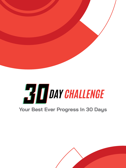



## **Your Best Ever Progress In 30 Days**

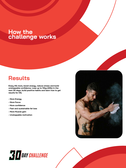## **How the challenge works**

#### **Results**

**Enjoy life more, boost energy, reduce stress and build** 



**unstoppable confidence. Lose up to 10kg (22lb) in the next 30 days, build positive habits and learn how to get results for life.** 

- **More Energy**
- **More Focus**
- **More confidence**
- **Fast and sustainable fat loss**
- **More Muscle gain**
- **Unstoppable motivation**



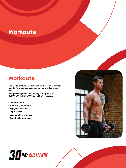# **Workouts**

## **Workouts**

**Easy to follow fully laid out training that is built for real** 



**results. No weird exercises and no hours a day in the gym.** 

**Just proven systems for training with options for BODYWEIGHT, HOME GYM or FULL GYM access.**

- **Daily workouts**
- **Train along experience**
- **Enjoyable sessions**
- **Rapid results**
- **Easy to follow structure**
- **Sustainable progress**



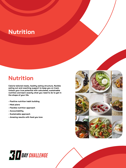# **Nutrition**

## **Nutrition**

**Calorie tailored meals, healthy eating structure, flexible** 



**eating out and coaching support to keep you on track. Unlock your true potential with calculated, sustainable nutrition and learn exactly what you need to do to get in the shape of your life.** 

- **Positive nutrition habit building**
- **Meal plans**
- **Flexible nutrition approach**
- **Accountability**
- **Sustainable approach**
- **Amazing results with food you love**



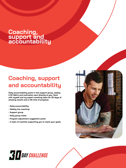## **Coaching, support and accountability**

**Coaching, support and accountability** 



**Daily accountability posts in the support group, weekly LIVE Q&A's and motivation sent directly to you. Work with myself and my expert coaching team for 30 days of amazing results and a life time of progress.** 

- **Daily accountability**
- **Weekly live coaching**
- **Support group**
- **Daily group chats**
- **Program adjustment suggestion posts**
- **A team of coaches supporting you to reach your goals**